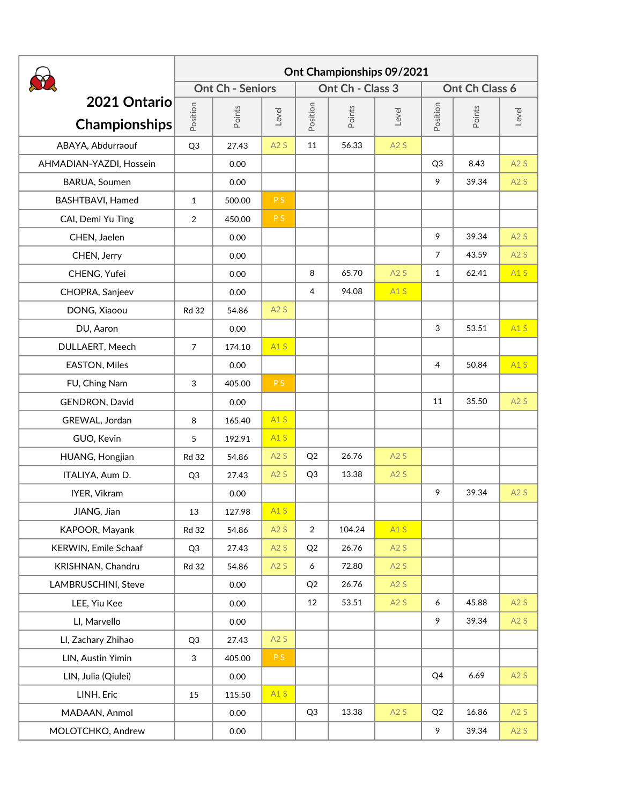|                                      | Ont Championships 09/2021 |        |       |                  |        |       |                |        |       |
|--------------------------------------|---------------------------|--------|-------|------------------|--------|-------|----------------|--------|-------|
|                                      | <b>Ont Ch - Seniors</b>   |        |       | Ont Ch - Class 3 |        |       | Ont Ch Class 6 |        |       |
| 2021 Ontario<br><b>Championships</b> | Position                  | Points | Level | Position         | Points | Level | Position       | Points | Level |
| ABAYA, Abdurraouf                    | Q <sub>3</sub>            | 27.43  | A2S   | 11               | 56.33  | A2S   |                |        |       |
| AHMADIAN-YAZDI, Hossein              |                           | 0.00   |       |                  |        |       | Q <sub>3</sub> | 8.43   | A2S   |
| BARUA, Soumen                        |                           | 0.00   |       |                  |        |       | 9              | 39.34  | A2S   |
| BASHTBAVI, Hamed                     | $\mathbf{1}$              | 500.00 | PS.   |                  |        |       |                |        |       |
| CAI, Demi Yu Ting                    | $\overline{2}$            | 450.00 | P S   |                  |        |       |                |        |       |
| CHEN, Jaelen                         |                           | 0.00   |       |                  |        |       | 9              | 39.34  | A2S   |
| CHEN, Jerry                          |                           | 0.00   |       |                  |        |       | $\overline{7}$ | 43.59  | A2S   |
| CHENG, Yufei                         |                           | 0.00   |       | 8                | 65.70  | A2S   | $\mathbf{1}$   | 62.41  | A1S   |
| CHOPRA, Sanjeev                      |                           | 0.00   |       | 4                | 94.08  | A1S   |                |        |       |
| DONG, Xiaoou                         | <b>Rd 32</b>              | 54.86  | A2S   |                  |        |       |                |        |       |
| DU, Aaron                            |                           | 0.00   |       |                  |        |       | 3              | 53.51  | A1S   |
| DULLAERT, Meech                      | $7\overline{ }$           | 174.10 | A1S   |                  |        |       |                |        |       |
| EASTON, Miles                        |                           | 0.00   |       |                  |        |       | 4              | 50.84  | A1S   |
| FU, Ching Nam                        | 3                         | 405.00 | PS.   |                  |        |       |                |        |       |
| GENDRON, David                       |                           | 0.00   |       |                  |        |       | 11             | 35.50  | A2S   |
| GREWAL, Jordan                       | 8                         | 165.40 | A1S   |                  |        |       |                |        |       |
| GUO, Kevin                           | 5                         | 192.91 | A1S   |                  |        |       |                |        |       |
| HUANG, Hongjian                      | <b>Rd 32</b>              | 54.86  | A2S   | Q2               | 26.76  | A2S   |                |        |       |
| ITALIYA, Aum D.                      | Q <sub>3</sub>            | 27.43  | A2S   | Q <sub>3</sub>   | 13.38  | A2S   |                |        |       |
| IYER, Vikram                         |                           | 0.00   |       |                  |        |       | 9              | 39.34  | A2S   |
| JIANG, Jian                          | 13                        | 127.98 | A1S   |                  |        |       |                |        |       |
| KAPOOR, Mayank                       | <b>Rd 32</b>              | 54.86  | A2S   | $\overline{a}$   | 104.24 | A1S   |                |        |       |
| KERWIN, Emile Schaaf                 | Q3                        | 27.43  | A2S   | Q2               | 26.76  | A2S   |                |        |       |
| KRISHNAN, Chandru                    | <b>Rd 32</b>              | 54.86  | A2S   | 6                | 72.80  | A2S   |                |        |       |
| LAMBRUSCHINI, Steve                  |                           | 0.00   |       | Q2               | 26.76  | A2S   |                |        |       |
| LEE, Yiu Kee                         |                           | 0.00   |       | 12               | 53.51  | A2S   | $\epsilon$     | 45.88  | A2S   |
| LI, Marvello                         |                           | 0.00   |       |                  |        |       | 9              | 39.34  | A2S   |
| LI, Zachary Zhihao                   | Q <sub>3</sub>            | 27.43  | A2S   |                  |        |       |                |        |       |
| LIN, Austin Yimin                    | $\mathbf{3}$              | 405.00 | PS.   |                  |        |       |                |        |       |
| LIN, Julia (Qiulei)                  |                           | 0.00   |       |                  |        |       | Q4             | 6.69   | A2S   |
| LINH, Eric                           | 15                        | 115.50 | A1S   |                  |        |       |                |        |       |
| MADAAN, Anmol                        |                           | 0.00   |       | Q <sub>3</sub>   | 13.38  | A2S   | Q2             | 16.86  | A2S   |
| MOLOTCHKO, Andrew                    |                           | 0.00   |       |                  |        |       | 9              | 39.34  | A2S   |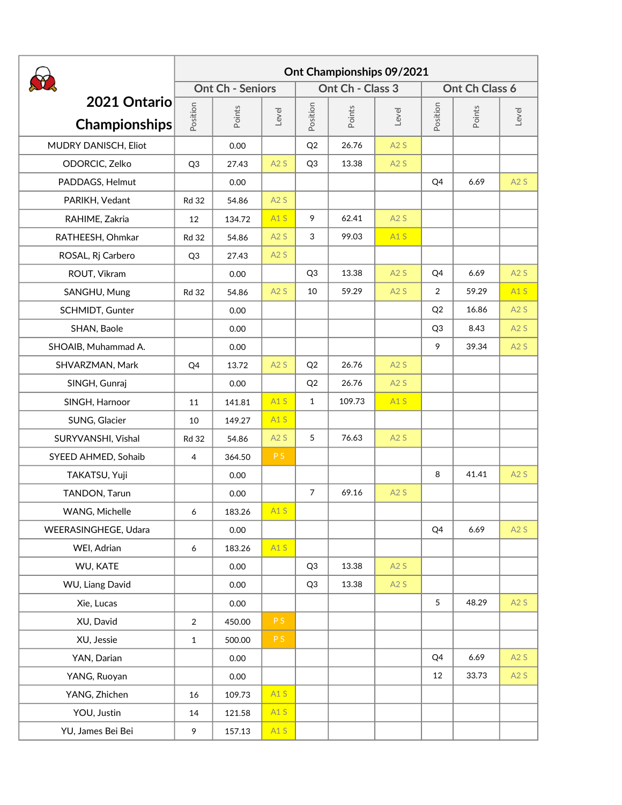|                                      | Ont Championships 09/2021 |        |       |                  |        |       |                 |        |       |
|--------------------------------------|---------------------------|--------|-------|------------------|--------|-------|-----------------|--------|-------|
|                                      | <b>Ont Ch - Seniors</b>   |        |       | Ont Ch - Class 3 |        |       | Ont Ch Class 6  |        |       |
| 2021 Ontario<br><b>Championships</b> | Position                  | Points | Level | Position         | Points | Level | Position        | Points | Level |
| MUDRY DANISCH, Eliot                 |                           | 0.00   |       | Q2               | 26.76  | A2S   |                 |        |       |
| ODORCIC, Zelko                       | Q <sub>3</sub>            | 27.43  | A2S   | Q <sub>3</sub>   | 13.38  | A2S   |                 |        |       |
| PADDAGS, Helmut                      |                           | 0.00   |       |                  |        |       | Q4              | 6.69   | A2S   |
| PARIKH, Vedant                       | <b>Rd 32</b>              | 54.86  | A2S   |                  |        |       |                 |        |       |
| RAHIME, Zakria                       | 12                        | 134.72 | A1S   | 9                | 62.41  | A2S   |                 |        |       |
| RATHEESH, Ohmkar                     | <b>Rd 32</b>              | 54.86  | A2S   | 3                | 99.03  | A1S   |                 |        |       |
| ROSAL, Rj Carbero                    | Q <sub>3</sub>            | 27.43  | A2S   |                  |        |       |                 |        |       |
| ROUT, Vikram                         |                           | 0.00   |       | Q <sub>3</sub>   | 13.38  | A2S   | Q4              | 6.69   | A2S   |
| SANGHU, Mung                         | <b>Rd 32</b>              | 54.86  | A2S   | 10               | 59.29  | A2S   | $\overline{2}$  | 59.29  | A1S   |
| SCHMIDT, Gunter                      |                           | 0.00   |       |                  |        |       | Q2              | 16.86  | A2S   |
| SHAN, Baole                          |                           | 0.00   |       |                  |        |       | Q <sub>3</sub>  | 8.43   | A2S   |
| SHOAIB, Muhammad A.                  |                           | 0.00   |       |                  |        |       | 9               | 39.34  | A2S   |
| SHVARZMAN, Mark                      | Q4                        | 13.72  | A2S   | Q2               | 26.76  | A2S   |                 |        |       |
| SINGH, Gunraj                        |                           | 0.00   |       | Q2               | 26.76  | A2S   |                 |        |       |
| SINGH, Harnoor                       | 11                        | 141.81 | A1S   | $\mathbf{1}$     | 109.73 | A1S   |                 |        |       |
| SUNG, Glacier                        | 10                        | 149.27 | A1S   |                  |        |       |                 |        |       |
| SURYVANSHI, Vishal                   | <b>Rd 32</b>              | 54.86  | A2S   | 5                | 76.63  | A2S   |                 |        |       |
| SYEED AHMED, Sohaib                  | $\overline{4}$            | 364.50 | PS.   |                  |        |       |                 |        |       |
| TAKATSU, Yuji                        |                           | 0.00   |       |                  |        |       | 8               | 41.41  | A2S   |
| TANDON, Tarun                        |                           | 0.00   |       | $\overline{7}$   | 69.16  | A2S   |                 |        |       |
| WANG, Michelle                       | 6                         | 183.26 | A1S   |                  |        |       |                 |        |       |
| WEERASINGHEGE, Udara                 |                           | 0.00   |       |                  |        |       | Q4              | 6.69   | A2S   |
| WEI, Adrian                          | $6\overline{6}$           | 183.26 | A1S   |                  |        |       |                 |        |       |
| WU, KATE                             |                           | 0.00   |       | Q <sub>3</sub>   | 13.38  | A2S   |                 |        |       |
| WU, Liang David                      |                           | 0.00   |       | Q <sub>3</sub>   | 13.38  | A2S   |                 |        |       |
| Xie, Lucas                           |                           | 0.00   |       |                  |        |       | $5\overline{)}$ | 48.29  | A2S   |
| XU, David                            | $\overline{2}$            | 450.00 | PS.   |                  |        |       |                 |        |       |
| XU, Jessie                           | $\mathbf{1}$              | 500.00 | PS.   |                  |        |       |                 |        |       |
| YAN, Darian                          |                           | 0.00   |       |                  |        |       | Q4              | 6.69   | A2S   |
| YANG, Ruoyan                         |                           | 0.00   |       |                  |        |       | 12              | 33.73  | A2S   |
| YANG, Zhichen                        | 16                        | 109.73 | A1S   |                  |        |       |                 |        |       |
| YOU, Justin                          | 14                        | 121.58 | A1S   |                  |        |       |                 |        |       |
| YU, James Bei Bei                    | 9                         | 157.13 | A1S   |                  |        |       |                 |        |       |